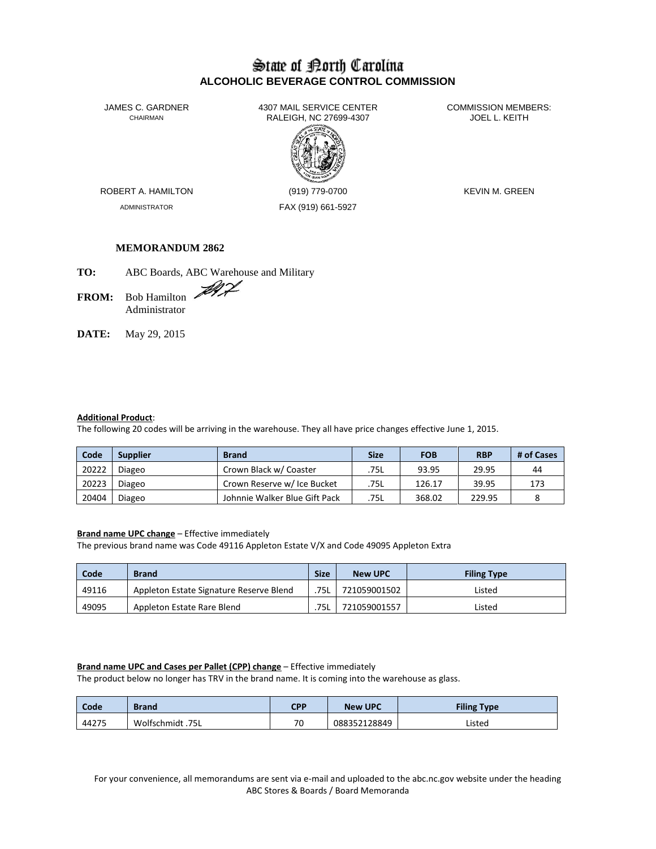# State of Borth Carolina **ALCOHOLIC BEVERAGE CONTROL COMMISSION**

JAMES C. GARDNER 4307 MAIL SERVICE CENTER<br>CHAIRMAN CHAIRMAN RALEIGH, NC 27699-4307 RALEIGH, NC 27699-4307



ADMINISTRATOR FAX (919) 661-5927

ROBERT A. HAMILTON (919) 779-0700 KEVIN M. GREEN

### **MEMORANDUM 2862**

**TO:** ABC Boards, ABC Warehouse and Military

- FROM: Bob Hamilton Administrator
- **DATE:** May 29, 2015

#### **Additional Product**:

The following 20 codes will be arriving in the warehouse. They all have price changes effective June 1, 2015.

| Code  | <b>Supplier</b> | <b>Brand</b>                  | Size | <b>FOB</b> | <b>RBP</b> | # of Cases |
|-------|-----------------|-------------------------------|------|------------|------------|------------|
| 20222 | Diageo          | Crown Black w/ Coaster        | .75L | 93.95      | 29.95      | 44         |
| 20223 | Diageo          | Crown Reserve w/ Ice Bucket   | 75L  | 126.17     | 39.95      | 173        |
| 20404 | Diageo          | Johnnie Walker Blue Gift Pack | 75L  | 368.02     | 229.95     |            |

#### **Brand name UPC change** – Effective immediately

The previous brand name was Code 49116 Appleton Estate V/X and Code 49095 Appleton Extra

| Code  | <b>Brand</b>                            | <b>Size</b> | <b>New UPC</b> | <b>Filing Type</b> |
|-------|-----------------------------------------|-------------|----------------|--------------------|
| 49116 | Appleton Estate Signature Reserve Blend | 75L         | 721059001502   | Listed             |
| 49095 | Appleton Estate Rare Blend              | 75L         | 721059001557   | Listed             |

#### **Brand name UPC and Cases per Pallet (CPP) change** – Effective immediately

The product below no longer has TRV in the brand name. It is coming into the warehouse as glass.

| Code  | <b>Brand</b>     | CPP | <b>New UPC</b> | <b>Filing Type</b> |
|-------|------------------|-----|----------------|--------------------|
| 44275 | Wolfschmidt .75L | 70  | 088352128849   | Listed             |

For your convenience, all memorandums are sent via e-mail and uploaded to the abc.nc.gov website under the heading ABC Stores & Boards / Board Memoranda